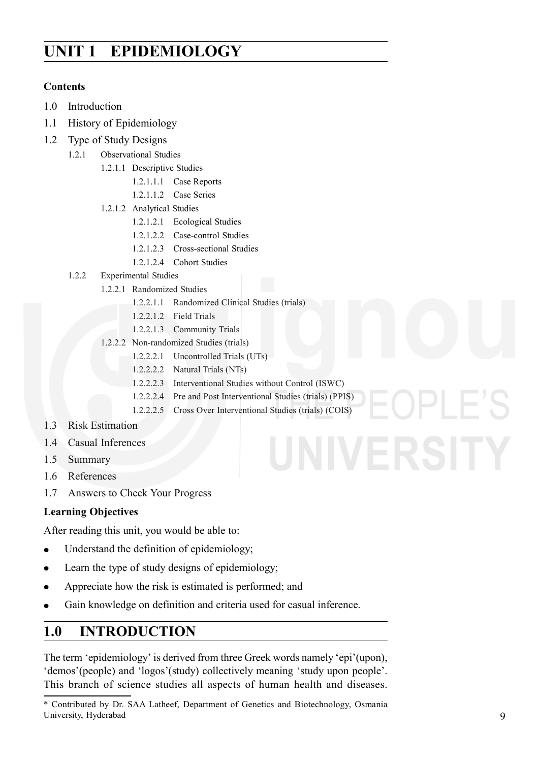# **Epidemiology UNIT 1 EPIDEMIOLOGY**

#### **Contents**

- 1.0 Introduction
- 1.1 History of Epidemiology
- 1.2 Type of Study Designs
	- 1.2.1 Observational Studies
		- 1.2.1.1 Descriptive Studies
			- 1.2.1.1.1 Case Reports
			- 1.2.1.1.2 Case Series
		- 1.2.1.2 Analytical Studies
			- 1.2.1.2.1 Ecological Studies
			- 1.2.1.2.2 Case-control Studies
			- 1.2.1.2.3 Cross-sectional Studies
			- 1.2.1.2.4 Cohort Studies
	- 1.2.2 Experimental Studies
		- 1.2.2.1 Randomized Studies
			- 1.2.2.1.1 Randomized Clinical Studies (trials)
			- 1.2.2.1.2 Field Trials
			- 1.2.2.1.3 Community Trials
			- 1.2.2.2 Non-randomized Studies (trials)
				- 1.2.2.2.1 Uncontrolled Trials (UTs)
				- 1.2.2.2.2 Natural Trials (NTs)
				- 1.2.2.2.3 Interventional Studies without Control (ISWC)
				- 1.2.2.2.4 Pre and Post Interventional Studies (trials) (PPIS)
				- 1.2.2.2.5 Cross Over Interventional Studies (trials) (COIS)
- 1.3 Risk Estimation
- 1.4 Casual Inferences
- 1.5 Summary
- 1.6 References
- 1.7 Answers to Check Your Progress

#### **Learning Objectives**

After reading this unit, you would be able to:

- Understand the definition of epidemiology;  $\bullet$
- Learn the type of study designs of epidemiology;  $\bullet$
- Appreciate how the risk is estimated is performed; and
- Gain knowledge on definition and criteria used for casual inference.  $\bullet$

## **1.0 INTRODUCTION**

The term 'epidemiology' is derived from three Greek words namely 'epi'(upon), 'demos'(people) and 'logos'(study) collectively meaning 'study upon people'. This branch of science studies all aspects of human health and diseases.

<sup>\*</sup> Contributed by Dr. SAA Latheef, Department of Genetics and Biotechnology, Osmania University, Hyderabad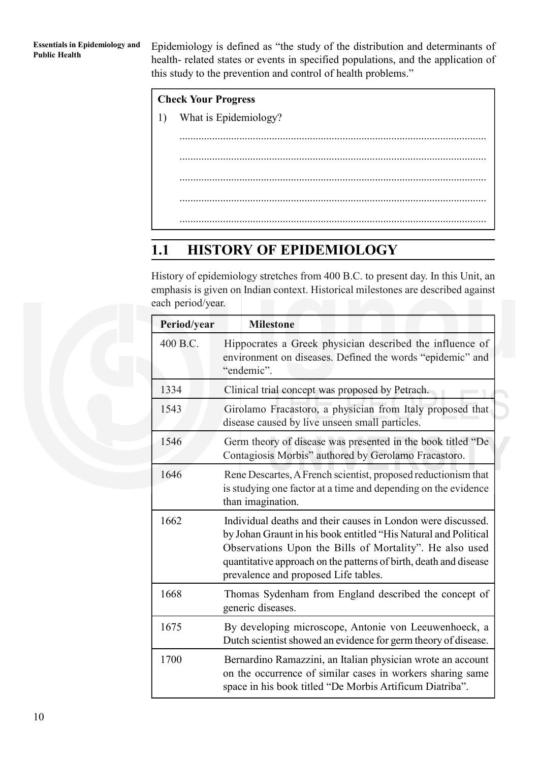Epidemiology is defined as "the study of the distribution and determinants of health- related states or events in specified populations, and the application of this study to the prevention and control of health problems."

|    | <b>Check Your Progress</b> |  |  |  |  |
|----|----------------------------|--|--|--|--|
| 1) | What is Epidemiology?      |  |  |  |  |
|    |                            |  |  |  |  |
|    |                            |  |  |  |  |
|    |                            |  |  |  |  |
|    |                            |  |  |  |  |
|    |                            |  |  |  |  |
|    |                            |  |  |  |  |

## **1.1 HISTORY OF EPIDEMIOLOGY**

History of epidemiology stretches from 400 B.C. to present day. In this Unit, an emphasis is given on Indian context. Historical milestones are described against each period/year.

| Period/year | <b>Milestone</b>                                                                                                                                                                                                                                                                                        |  |  |
|-------------|---------------------------------------------------------------------------------------------------------------------------------------------------------------------------------------------------------------------------------------------------------------------------------------------------------|--|--|
| 400 B.C.    | Hippocrates a Greek physician described the influence of<br>environment on diseases. Defined the words "epidemic" and<br>"endemic".                                                                                                                                                                     |  |  |
| 1334        | Clinical trial concept was proposed by Petrach.                                                                                                                                                                                                                                                         |  |  |
| 1543        | Girolamo Fracastoro, a physician from Italy proposed that<br>disease caused by live unseen small particles.                                                                                                                                                                                             |  |  |
| 1546        | Germ theory of disease was presented in the book titled "De<br>Contagiosis Morbis" authored by Gerolamo Fracastoro.                                                                                                                                                                                     |  |  |
| 1646        | Rene Descartes, A French scientist, proposed reductionism that<br>is studying one factor at a time and depending on the evidence<br>than imagination.                                                                                                                                                   |  |  |
| 1662        | Individual deaths and their causes in London were discussed.<br>by Johan Graunt in his book entitled "His Natural and Political<br>Observations Upon the Bills of Mortality". He also used<br>quantitative approach on the patterns of birth, death and disease<br>prevalence and proposed Life tables. |  |  |
| 1668        | Thomas Sydenham from England described the concept of<br>generic diseases.                                                                                                                                                                                                                              |  |  |
| 1675        | By developing microscope, Antonie von Leeuwenhoeck, a<br>Dutch scientist showed an evidence for germ theory of disease.                                                                                                                                                                                 |  |  |
| 1700        | Bernardino Ramazzini, an Italian physician wrote an account<br>on the occurrence of similar cases in workers sharing same<br>space in his book titled "De Morbis Artificum Diatriba".                                                                                                                   |  |  |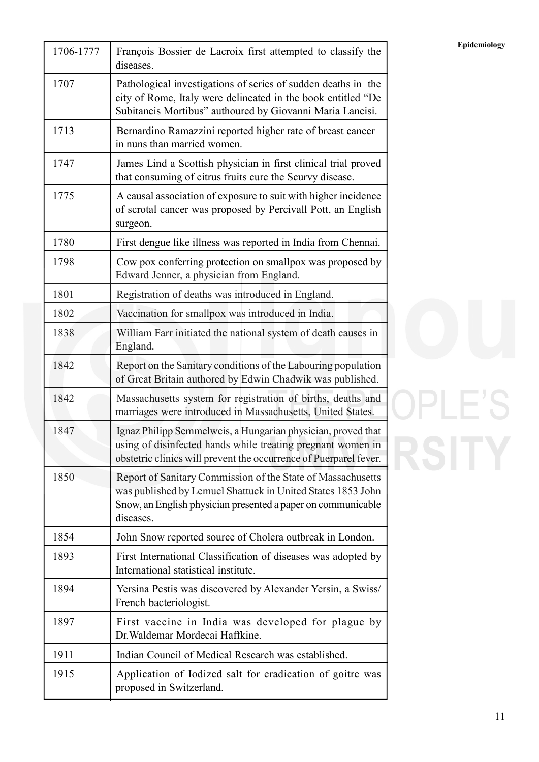| 1706-1777 | François Bossier de Lacroix first attempted to classify the<br>diseases.                                                                                                                                | Epidemiology |
|-----------|---------------------------------------------------------------------------------------------------------------------------------------------------------------------------------------------------------|--------------|
| 1707      | Pathological investigations of series of sudden deaths in the<br>city of Rome, Italy were delineated in the book entitled "De<br>Subitaneis Mortibus" authoured by Giovanni Maria Lancisi.              |              |
| 1713      | Bernardino Ramazzini reported higher rate of breast cancer<br>in nuns than married women.                                                                                                               |              |
| 1747      | James Lind a Scottish physician in first clinical trial proved<br>that consuming of citrus fruits cure the Scurvy disease.                                                                              |              |
| 1775      | A causal association of exposure to suit with higher incidence<br>of scrotal cancer was proposed by Percivall Pott, an English<br>surgeon.                                                              |              |
| 1780      | First dengue like illness was reported in India from Chennai.                                                                                                                                           |              |
| 1798      | Cow pox conferring protection on smallpox was proposed by<br>Edward Jenner, a physician from England.                                                                                                   |              |
| 1801      | Registration of deaths was introduced in England.                                                                                                                                                       |              |
| 1802      | Vaccination for smallpox was introduced in India.                                                                                                                                                       |              |
| 1838      | William Farr initiated the national system of death causes in<br>England.                                                                                                                               |              |
| 1842      | Report on the Sanitary conditions of the Labouring population<br>of Great Britain authored by Edwin Chadwik was published.                                                                              |              |
| 1842      | Massachusetts system for registration of births, deaths and<br>marriages were introduced in Massachusetts, United States.                                                                               |              |
| 1847      | Ignaz Philipp Semmelweis, a Hungarian physician, proved that<br>using of disinfected hands while treating pregnant women in<br>obstetric clinics will prevent the occurrence of Puerparel fever.        |              |
| 1850      | Report of Sanitary Commission of the State of Massachusetts<br>was published by Lemuel Shattuck in United States 1853 John<br>Snow, an English physician presented a paper on communicable<br>diseases. |              |
| 1854      | John Snow reported source of Cholera outbreak in London.                                                                                                                                                |              |
| 1893      | First International Classification of diseases was adopted by<br>International statistical institute.                                                                                                   |              |
| 1894      | Yersina Pestis was discovered by Alexander Yersin, a Swiss/<br>French bacteriologist.                                                                                                                   |              |
| 1897      | First vaccine in India was developed for plague by<br>Dr. Waldemar Mordecai Haffkine.                                                                                                                   |              |
| 1911      | Indian Council of Medical Research was established.                                                                                                                                                     |              |
| 1915      | Application of Iodized salt for eradication of goitre was<br>proposed in Switzerland.                                                                                                                   |              |

# OPLE'S RSITY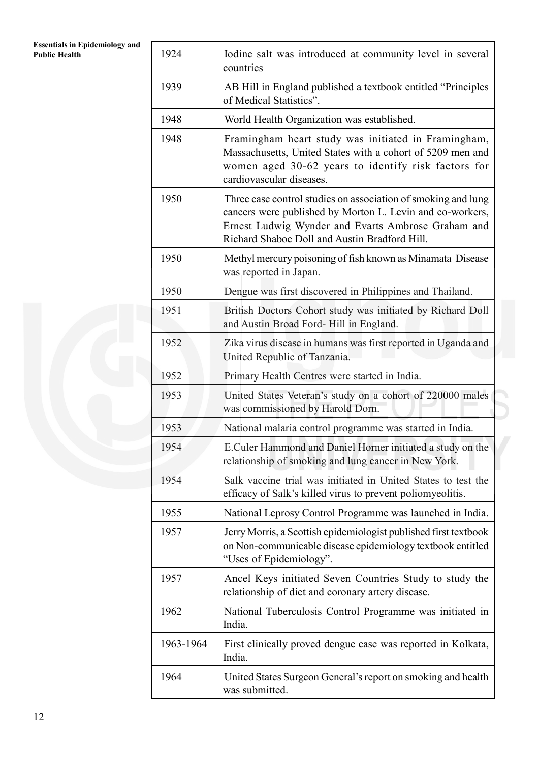| <b>Essentials in Epidemiology and</b><br><b>Public Health</b> | 1924      | Iodine salt was introduced at community level in several<br>countries                                                                                                                                                             |
|---------------------------------------------------------------|-----------|-----------------------------------------------------------------------------------------------------------------------------------------------------------------------------------------------------------------------------------|
|                                                               | 1939      | AB Hill in England published a textbook entitled "Principles<br>of Medical Statistics".                                                                                                                                           |
|                                                               | 1948      | World Health Organization was established.                                                                                                                                                                                        |
|                                                               | 1948      | Framingham heart study was initiated in Framingham,<br>Massachusetts, United States with a cohort of 5209 men and<br>women aged 30-62 years to identify risk factors for<br>cardiovascular diseases.                              |
|                                                               | 1950      | Three case control studies on association of smoking and lung<br>cancers were published by Morton L. Levin and co-workers,<br>Ernest Ludwig Wynder and Evarts Ambrose Graham and<br>Richard Shaboe Doll and Austin Bradford Hill. |
|                                                               | 1950      | Methyl mercury poisoning of fish known as Minamata Disease<br>was reported in Japan.                                                                                                                                              |
|                                                               | 1950      | Dengue was first discovered in Philippines and Thailand.                                                                                                                                                                          |
|                                                               | 1951      | British Doctors Cohort study was initiated by Richard Doll<br>and Austin Broad Ford-Hill in England.                                                                                                                              |
|                                                               | 1952      | Zika virus disease in humans was first reported in Uganda and<br>United Republic of Tanzania.                                                                                                                                     |
|                                                               | 1952      | Primary Health Centres were started in India.                                                                                                                                                                                     |
|                                                               | 1953      | United States Veteran's study on a cohort of 220000 males<br>was commissioned by Harold Dorn.                                                                                                                                     |
|                                                               | 1953      | National malaria control programme was started in India.                                                                                                                                                                          |
|                                                               | 1954      | E.Culer Hammond and Daniel Horner initiated a study on the<br>relationship of smoking and lung cancer in New York.                                                                                                                |
|                                                               | 1954      | Salk vaccine trial was initiated in United States to test the<br>efficacy of Salk's killed virus to prevent poliomyeolitis.                                                                                                       |
|                                                               | 1955      | National Leprosy Control Programme was launched in India.                                                                                                                                                                         |
|                                                               | 1957      | Jerry Morris, a Scottish epidemiologist published first textbook<br>on Non-communicable disease epidemiology textbook entitled<br>"Uses of Epidemiology".                                                                         |
|                                                               | 1957      | Ancel Keys initiated Seven Countries Study to study the<br>relationship of diet and coronary artery disease.                                                                                                                      |
|                                                               | 1962      | National Tuberculosis Control Programme was initiated in<br>India.                                                                                                                                                                |
|                                                               | 1963-1964 | First clinically proved dengue case was reported in Kolkata,<br>India.                                                                                                                                                            |
|                                                               | 1964      | United States Surgeon General's report on smoking and health<br>was submitted.                                                                                                                                                    |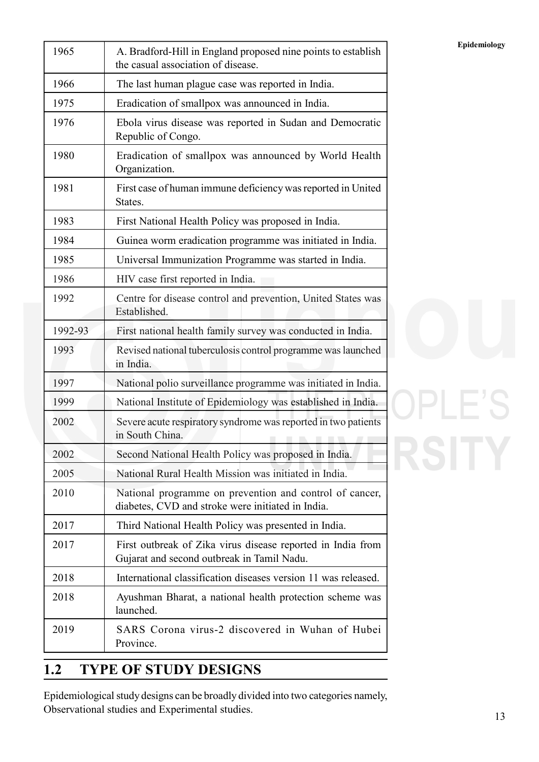| 1965    | A. Bradford-Hill in England proposed nine points to establish<br>the casual association of disease.          | Epidemiology |
|---------|--------------------------------------------------------------------------------------------------------------|--------------|
| 1966    | The last human plague case was reported in India.                                                            |              |
| 1975    | Eradication of smallpox was announced in India.                                                              |              |
| 1976    | Ebola virus disease was reported in Sudan and Democratic<br>Republic of Congo.                               |              |
| 1980    | Eradication of smallpox was announced by World Health<br>Organization.                                       |              |
| 1981    | First case of human immune deficiency was reported in United<br>States.                                      |              |
| 1983    | First National Health Policy was proposed in India.                                                          |              |
| 1984    | Guinea worm eradication programme was initiated in India.                                                    |              |
| 1985    | Universal Immunization Programme was started in India.                                                       |              |
| 1986    | HIV case first reported in India.                                                                            |              |
| 1992    | Centre for disease control and prevention, United States was<br>Established.                                 |              |
| 1992-93 | First national health family survey was conducted in India.                                                  |              |
| 1993    | Revised national tuberculosis control programme was launched<br>in India.                                    |              |
| 1997    | National polio surveillance programme was initiated in India.                                                |              |
| 1999    | National Institute of Epidemiology was established in India.                                                 |              |
| 2002    | Severe acute respiratory syndrome was reported in two patients<br>in South China.                            |              |
| 2002    | Second National Health Policy was proposed in India.                                                         |              |
| 2005    | National Rural Health Mission was initiated in India.                                                        |              |
| 2010    | National programme on prevention and control of cancer,<br>diabetes, CVD and stroke were initiated in India. |              |
| 2017    | Third National Health Policy was presented in India.                                                         |              |
| 2017    | First outbreak of Zika virus disease reported in India from<br>Gujarat and second outbreak in Tamil Nadu.    |              |
| 2018    | International classification diseases version 11 was released.                                               |              |
| 2018    | Ayushman Bharat, a national health protection scheme was<br>launched.                                        |              |
| 2019    | SARS Corona virus-2 discovered in Wuhan of Hubei<br>Province.                                                |              |

# **OPLE'S** RSITY

# **1.2 TYPE OF STUDY DESIGNS**

Epidemiological study designs can be broadly divided into two categories namely, Observational studies and Experimental studies.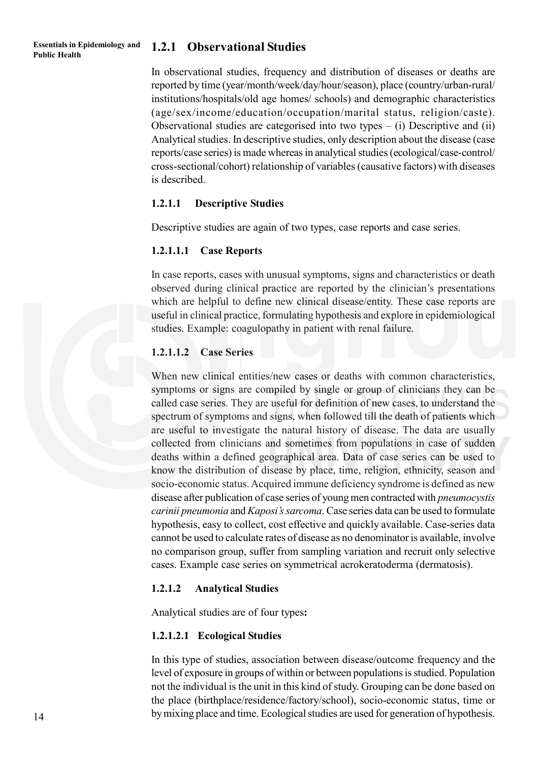#### **Essentials in Epidemiology and Public Health**

#### **1.2.1 Observational Studies**

In observational studies, frequency and distribution of diseases or deaths are reported by time (year/month/week/day/hour/season), place (country/urban-rural/ institutions/hospitals/old age homes/ schools) and demographic characteristics (age/sex/income/education/occupation/marital status, religion/caste). Observational studies are categorised into two types  $-$  (i) Descriptive and (ii) Analytical studies. In descriptive studies, only description about the disease (case reports/case series) is made whereas in analytical studies (ecological/case-control/ cross-sectional/cohort) relationship of variables (causative factors) with diseases is described.

#### **1.2.1.1 Descriptive Studies**

Descriptive studies are again of two types, case reports and case series.

#### **1.2.1.1.1 Case Reports**

In case reports, cases with unusual symptoms, signs and characteristics or death observed during clinical practice are reported by the clinician's presentations which are helpful to define new clinical disease/entity. These case reports are useful in clinical practice, formulating hypothesis and explore in epidemiological studies. Example: coagulopathy in patient with renal failure.

#### **1.2.1.1.2 Case Series**

When new clinical entities/new cases or deaths with common characteristics. symptoms or signs are compiled by single or group of clinicians they can be called case series. They are useful for definition of new cases, to understand the spectrum of symptoms and signs, when followed till the death of patients which are useful to investigate the natural history of disease. The data are usually collected from clinicians and sometimes from populations in case of sudden deaths within a defined geographical area. Data of case series can be used to know the distribution of disease by place, time, religion, ethnicity, season and socio-economic status. Acquired immune deficiency syndrome is defined as new disease after publication of case series of young men contracted with *pneumocystis carinii pneumonia* and *Kaposi's sarcoma*. Case series data can be used to formulate hypothesis, easy to collect, cost effective and quickly available. Case-series data cannot be used to calculate rates of disease as no denominator is available, involve no comparison group, suffer from sampling variation and recruit only selective cases. Example case series on symmetrical acrokeratoderma (dermatosis).

#### **1.2.1.2 Analytical Studies**

Analytical studies are of four types**:**

#### **1.2.1.2.1 Ecological Studies**

In this type of studies, association between disease/outcome frequency and the level of exposure in groups of within or between populations is studied. Population not the individual is the unit in this kind of study. Grouping can be done based on the place (birthplace/residence/factory/school), socio-economic status, time or by mixing place and time. Ecological studies are used for generation of hypothesis.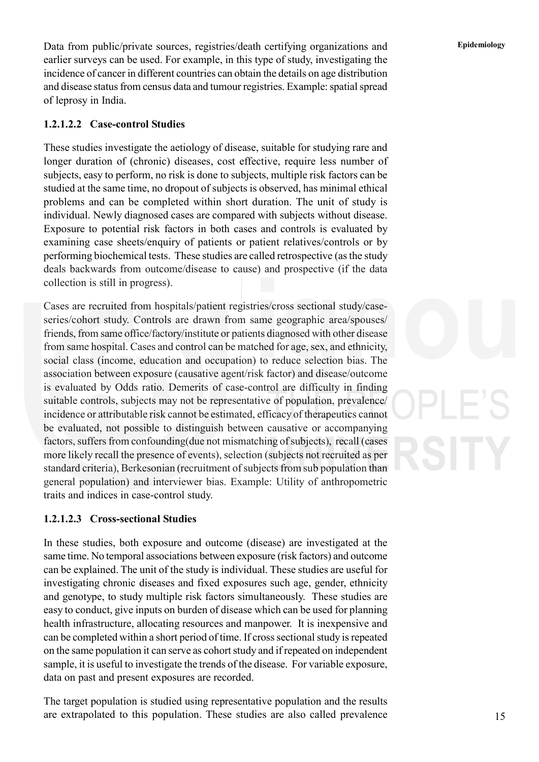Data from public/private sources, registries/death certifying organizations and **Epidemiology** earlier surveys can be used. For example, in this type of study, investigating the incidence of cancer in different countries can obtain the details on age distribution and disease status from census data and tumour registries. Example: spatial spread of leprosy in India.

#### **1.2.1.2.2 Case-control Studies**

These studies investigate the aetiology of disease, suitable for studying rare and longer duration of (chronic) diseases, cost effective, require less number of subjects, easy to perform, no risk is done to subjects, multiple risk factors can be studied at the same time, no dropout of subjects is observed, has minimal ethical problems and can be completed within short duration. The unit of study is individual. Newly diagnosed cases are compared with subjects without disease. Exposure to potential risk factors in both cases and controls is evaluated by examining case sheets/enquiry of patients or patient relatives/controls or by performing biochemical tests. These studies are called retrospective (as the study deals backwards from outcome/disease to cause) and prospective (if the data collection is still in progress).

Cases are recruited from hospitals/patient registries/cross sectional study/caseseries/cohort study. Controls are drawn from same geographic area/spouses/ friends, from same office/factory/institute or patients diagnosed with other disease from same hospital. Cases and control can be matched for age, sex, and ethnicity, social class (income, education and occupation) to reduce selection bias. The association between exposure (causative agent/risk factor) and disease/outcome is evaluated by Odds ratio. Demerits of case-control are difficulty in finding suitable controls, subjects may not be representative of population, prevalence/ incidence or attributable risk cannot be estimated, efficacy of therapeutics cannot be evaluated, not possible to distinguish between causative or accompanying factors, suffers from confounding(due not mismatching of subjects), recall (cases more likely recall the presence of events), selection (subjects not recruited as per standard criteria), Berkesonian (recruitment of subjects from sub population than general population) and interviewer bias. Example: Utility of anthropometric traits and indices in case-control study.

#### **1.2.1.2.3 Cross-sectional Studies**

In these studies, both exposure and outcome (disease) are investigated at the same time. No temporal associations between exposure (risk factors) and outcome can be explained. The unit of the study is individual. These studies are useful for investigating chronic diseases and fixed exposures such age, gender, ethnicity and genotype, to study multiple risk factors simultaneously. These studies are easy to conduct, give inputs on burden of disease which can be used for planning health infrastructure, allocating resources and manpower. It is inexpensive and can be completed within a short period of time. If cross sectional study is repeated on the same population it can serve as cohort study and if repeated on independent sample, it is useful to investigate the trends of the disease. For variable exposure, data on past and present exposures are recorded.

The target population is studied using representative population and the results are extrapolated to this population. These studies are also called prevalence

15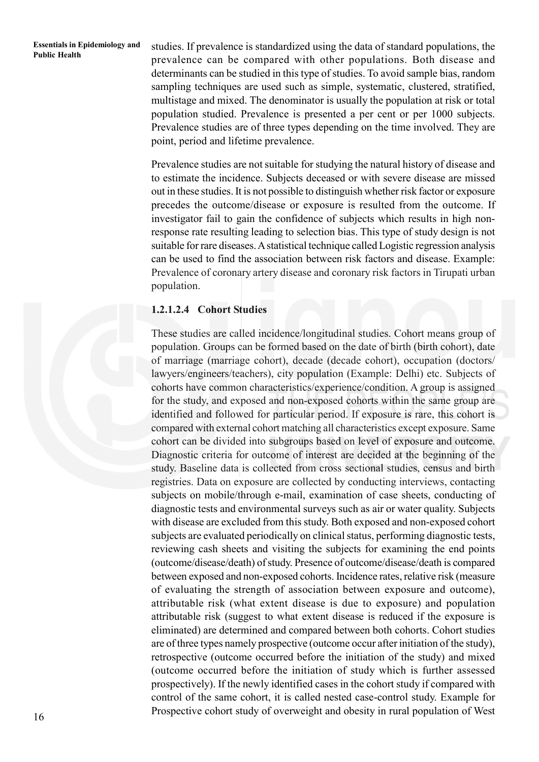**Essentials in Epidemiology and** studies. If prevalence is standardized using the data of standard populations, the Public Health<br> **Public Health** standard populations, the comparison of the standard populations. Dath dise prevalence can be compared with other populations. Both disease and determinants can be studied in this type of studies. To avoid sample bias, random sampling techniques are used such as simple, systematic, clustered, stratified, multistage and mixed. The denominator is usually the population at risk or total population studied. Prevalence is presented a per cent or per 1000 subjects. Prevalence studies are of three types depending on the time involved. They are point, period and lifetime prevalence.

> Prevalence studies are not suitable for studying the natural history of disease and to estimate the incidence. Subjects deceased or with severe disease are missed out in these studies. It is not possible to distinguish whether risk factor or exposure precedes the outcome/disease or exposure is resulted from the outcome. If investigator fail to gain the confidence of subjects which results in high nonresponse rate resulting leading to selection bias. This type of study design is not suitable for rare diseases. A statistical technique called Logistic regression analysis can be used to find the association between risk factors and disease. Example: Prevalence of coronary artery disease and coronary risk factors in Tirupati urban population.

#### **1.2.1.2.4 Cohort Studies**

These studies are called incidence/longitudinal studies. Cohort means group of population. Groups can be formed based on the date of birth (birth cohort), date of marriage (marriage cohort), decade (decade cohort), occupation (doctors/ lawyers/engineers/teachers), city population (Example: Delhi) etc. Subjects of cohorts have common characteristics/experience/condition. A group is assigned for the study, and exposed and non-exposed cohorts within the same group are identified and followed for particular period. If exposure is rare, this cohort is compared with external cohort matching all characteristics except exposure. Same cohort can be divided into subgroups based on level of exposure and outcome. Diagnostic criteria for outcome of interest are decided at the beginning of the study. Baseline data is collected from cross sectional studies, census and birth registries. Data on exposure are collected by conducting interviews, contacting subjects on mobile/through e-mail, examination of case sheets, conducting of diagnostic tests and environmental surveys such as air or water quality. Subjects with disease are excluded from this study. Both exposed and non-exposed cohort subjects are evaluated periodically on clinical status, performing diagnostic tests, reviewing cash sheets and visiting the subjects for examining the end points (outcome/disease/death) of study. Presence of outcome/disease/death is compared between exposed and non-exposed cohorts. Incidence rates, relative risk (measure of evaluating the strength of association between exposure and outcome), attributable risk (what extent disease is due to exposure) and population attributable risk (suggest to what extent disease is reduced if the exposure is eliminated) are determined and compared between both cohorts. Cohort studies are of three types namely prospective (outcome occur after initiation of the study), retrospective (outcome occurred before the initiation of the study) and mixed (outcome occurred before the initiation of study which is further assessed prospectively). If the newly identified cases in the cohort study if compared with control of the same cohort, it is called nested case-control study. Example for Prospective cohort study of overweight and obesity in rural population of West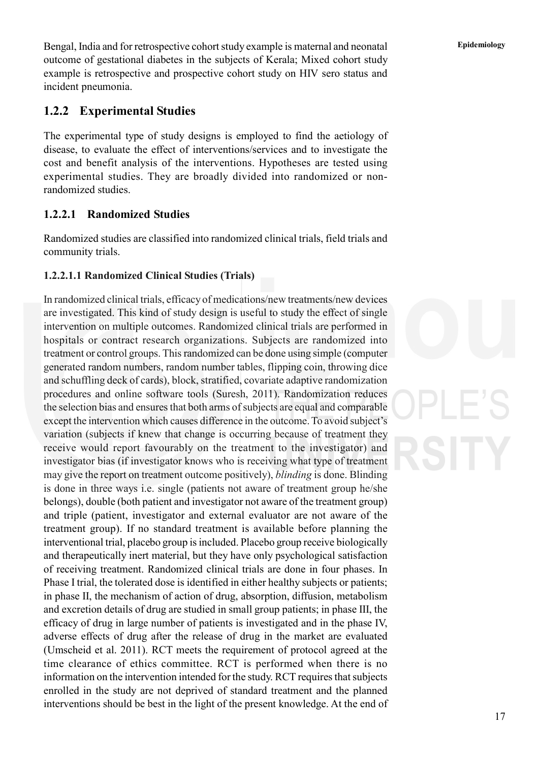Bengal, India and for retrospective cohort study example is maternal and neonatal **Epidemiology** outcome of gestational diabetes in the subjects of Kerala; Mixed cohort study example is retrospective and prospective cohort study on HIV sero status and incident pneumonia.

#### **1.2.2 Experimental Studies**

The experimental type of study designs is employed to find the aetiology of disease, to evaluate the effect of interventions/services and to investigate the cost and benefit analysis of the interventions. Hypotheses are tested using experimental studies. They are broadly divided into randomized or nonrandomized studies.

#### **1.2.2.1 Randomized Studies**

Randomized studies are classified into randomized clinical trials, field trials and community trials.

#### **1.2.2.1.1 Randomized Clinical Studies (Trials)**

In randomized clinical trials, efficacy of medications/new treatments/new devices are investigated. This kind of study design is useful to study the effect of single intervention on multiple outcomes. Randomized clinical trials are performed in hospitals or contract research organizations. Subjects are randomized into treatment or control groups. This randomized can be done using simple (computer generated random numbers, random number tables, flipping coin, throwing dice and schuffling deck of cards), block, stratified, covariate adaptive randomization procedures and online software tools (Suresh, 2011). Randomization reduces the selection bias and ensures that both arms of subjects are equal and comparable except the intervention which causes difference in the outcome. To avoid subject's variation (subjects if knew that change is occurring because of treatment they receive would report favourably on the treatment to the investigator) and investigator bias (if investigator knows who is receiving what type of treatment may give the report on treatment outcome positively), *blinding* is done. Blinding is done in three ways i.e. single (patients not aware of treatment group he/she belongs), double (both patient and investigator not aware of the treatment group) and triple (patient, investigator and external evaluator are not aware of the treatment group). If no standard treatment is available before planning the interventional trial, placebo group is included. Placebo group receive biologically and therapeutically inert material, but they have only psychological satisfaction of receiving treatment. Randomized clinical trials are done in four phases. In Phase I trial, the tolerated dose is identified in either healthy subjects or patients; in phase II, the mechanism of action of drug, absorption, diffusion, metabolism and excretion details of drug are studied in small group patients; in phase III, the efficacy of drug in large number of patients is investigated and in the phase IV, adverse effects of drug after the release of drug in the market are evaluated (Umscheid et al. 2011). RCT meets the requirement of protocol agreed at the time clearance of ethics committee. RCT is performed when there is no information on the intervention intended for the study. RCT requires that subjects enrolled in the study are not deprived of standard treatment and the planned interventions should be best in the light of the present knowledge. At the end of

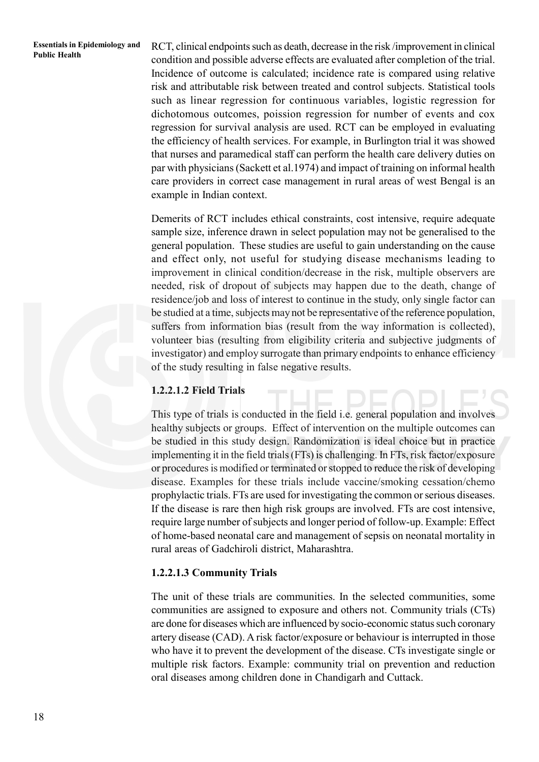**Public Health** RCT, clinical endpoints such as death, decrease in the risk /improvement in clinical Public Health condition and possible adverse effects are evaluated after completion of the trial. Incidence of outcome is calculated; incidence rate is compared using relative risk and attributable risk between treated and control subjects. Statistical tools such as linear regression for continuous variables, logistic regression for dichotomous outcomes, poission regression for number of events and cox regression for survival analysis are used. RCT can be employed in evaluating the efficiency of health services. For example, in Burlington trial it was showed that nurses and paramedical staff can perform the health care delivery duties on par with physicians (Sackett et al.1974) and impact of training on informal health care providers in correct case management in rural areas of west Bengal is an example in Indian context.

> Demerits of RCT includes ethical constraints, cost intensive, require adequate sample size, inference drawn in select population may not be generalised to the general population. These studies are useful to gain understanding on the cause and effect only, not useful for studying disease mechanisms leading to improvement in clinical condition/decrease in the risk, multiple observers are needed, risk of dropout of subjects may happen due to the death, change of residence/job and loss of interest to continue in the study, only single factor can be studied at a time, subjects may not be representative of the reference population, suffers from information bias (result from the way information is collected), volunteer bias (resulting from eligibility criteria and subjective judgments of investigator) and employ surrogate than primary endpoints to enhance efficiency of the study resulting in false negative results.

#### **1.2.2.1.2 Field Trials**

This type of trials is conducted in the field i.e. general population and involves healthy subjects or groups. Effect of intervention on the multiple outcomes can be studied in this study design. Randomization is ideal choice but in practice implementing it in the field trials (FTs) is challenging. In FTs, risk factor/exposure or procedures is modified or terminated or stopped to reduce the risk of developing disease. Examples for these trials include vaccine/smoking cessation/chemo prophylactic trials. FTs are used for investigating the common or serious diseases. If the disease is rare then high risk groups are involved. FTs are cost intensive, require large number of subjects and longer period of follow-up. Example: Effect of home-based neonatal care and management of sepsis on neonatal mortality in rural areas of Gadchiroli district, Maharashtra.

#### **1.2.2.1.3 Community Trials**

The unit of these trials are communities. In the selected communities, some communities are assigned to exposure and others not. Community trials (CTs) are done for diseases which are influenced by socio-economic status such coronary artery disease (CAD). A risk factor/exposure or behaviour is interrupted in those who have it to prevent the development of the disease. CTs investigate single or multiple risk factors. Example: community trial on prevention and reduction oral diseases among children done in Chandigarh and Cuttack.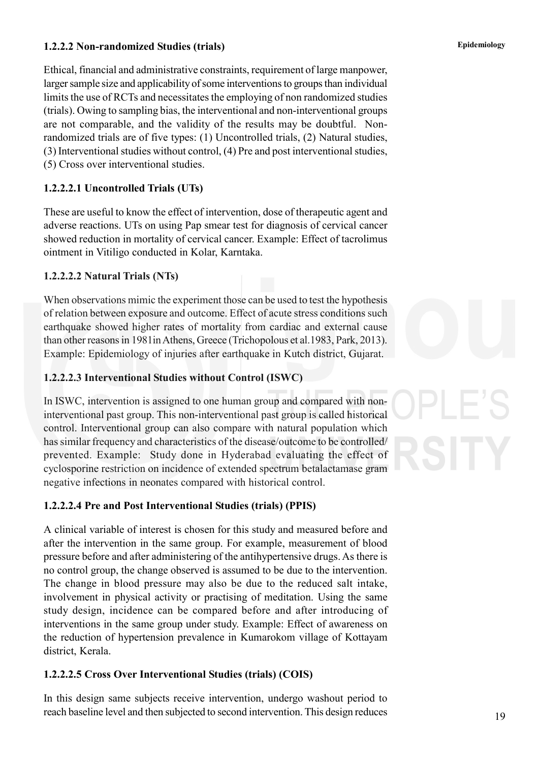#### **1.2.2.2 Non-randomized Studies (trials) Epidemiology**

Ethical, financial and administrative constraints, requirement of large manpower, larger sample size and applicability of some interventions to groups than individual limits the use of RCTs and necessitates the employing of non randomized studies (trials). Owing to sampling bias, the interventional and non-interventional groups are not comparable, and the validity of the results may be doubtful. Nonrandomized trials are of five types: (1) Uncontrolled trials, (2) Natural studies, (3) Interventional studies without control, (4) Pre and post interventional studies, (5) Cross over interventional studies.

#### **1.2.2.2.1 Uncontrolled Trials (UTs)**

These are useful to know the effect of intervention, dose of therapeutic agent and adverse reactions. UTs on using Pap smear test for diagnosis of cervical cancer showed reduction in mortality of cervical cancer. Example: Effect of tacrolimus ointment in Vitiligo conducted in Kolar, Karntaka.

#### **1.2.2.2.2 Natural Trials (NTs)**

When observations mimic the experiment those can be used to test the hypothesis of relation between exposure and outcome. Effect of acute stress conditions such earthquake showed higher rates of mortality from cardiac and external cause than other reasons in 1981in Athens, Greece (Trichopolous et al.1983, Park, 2013). Example: Epidemiology of injuries after earthquake in Kutch district, Gujarat.

#### **1.2.2.2.3 Interventional Studies without Control (ISWC)**

In ISWC, intervention is assigned to one human group and compared with noninterventional past group. This non-interventional past group is called historical control. Interventional group can also compare with natural population which has similar frequency and characteristics of the disease/outcome to be controlled/ prevented. Example: Study done in Hyderabad evaluating the effect of cyclosporine restriction on incidence of extended spectrum betalactamase gram negative infections in neonates compared with historical control.

#### **1.2.2.2.4 Pre and Post Interventional Studies (trials) (PPIS)**

A clinical variable of interest is chosen for this study and measured before and after the intervention in the same group. For example, measurement of blood pressure before and after administering of the antihypertensive drugs. As there is no control group, the change observed is assumed to be due to the intervention. The change in blood pressure may also be due to the reduced salt intake, involvement in physical activity or practising of meditation. Using the same study design, incidence can be compared before and after introducing of interventions in the same group under study. Example: Effect of awareness on the reduction of hypertension prevalence in Kumarokom village of Kottayam district, Kerala.

#### **1.2.2.2.5 Cross Over Interventional Studies (trials) (COIS)**

In this design same subjects receive intervention, undergo washout period to reach baseline level and then subjected to second intervention. This design reduces

19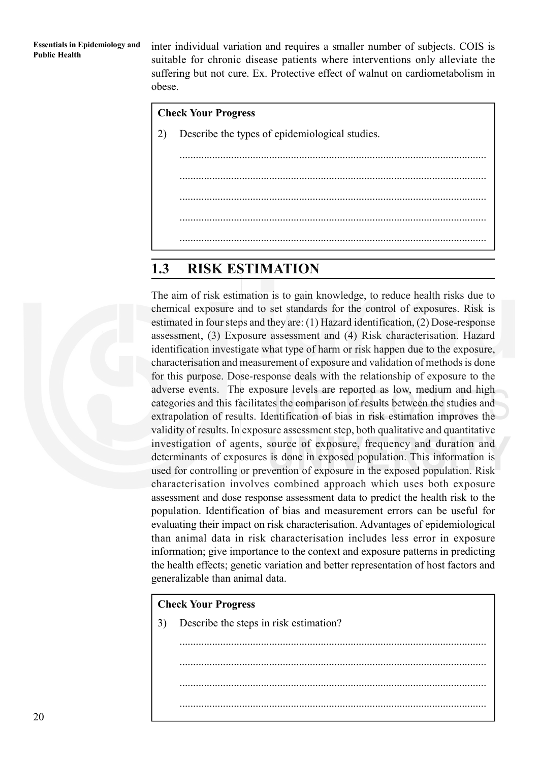**Essentials in Epidemiology and** inter individual variation and requires a smaller number of subjects. COIS is Public Health suitable for chronic disease patients where interventions only alleviate the suffering but not cure. Ex. Protective effect of walnut on cardiometabolism in obese.

# **Check Your Progress** 2) Describe the types of epidemiological studies. ................................................................................................................. ................................................................................................................. ................................................................................................................. ................................................................................................................. .................................................................................................................

### **1.3 RISK ESTIMATION**

The aim of risk estimation is to gain knowledge, to reduce health risks due to chemical exposure and to set standards for the control of exposures. Risk is estimated in four steps and they are: (1) Hazard identification, (2) Dose-response assessment, (3) Exposure assessment and (4) Risk characterisation. Hazard identification investigate what type of harm or risk happen due to the exposure, characterisation and measurement of exposure and validation of methods is done for this purpose. Dose-response deals with the relationship of exposure to the adverse events. The exposure levels are reported as low, medium and high categories and this facilitates the comparison of results between the studies and extrapolation of results. Identification of bias in risk estimation improves the validity of results. In exposure assessment step, both qualitative and quantitative investigation of agents, source of exposure, frequency and duration and determinants of exposures is done in exposed population. This information is used for controlling or prevention of exposure in the exposed population. Risk characterisation involves combined approach which uses both exposure assessment and dose response assessment data to predict the health risk to the population. Identification of bias and measurement errors can be useful for evaluating their impact on risk characterisation. Advantages of epidemiological than animal data in risk characterisation includes less error in exposure information; give importance to the context and exposure patterns in predicting the health effects; genetic variation and better representation of host factors and generalizable than animal data.

#### **Check Your Progress**

3) Describe the steps in risk estimation?

................................................................................................................. ................................................................................................................. ................................................................................................................. .................................................................................................................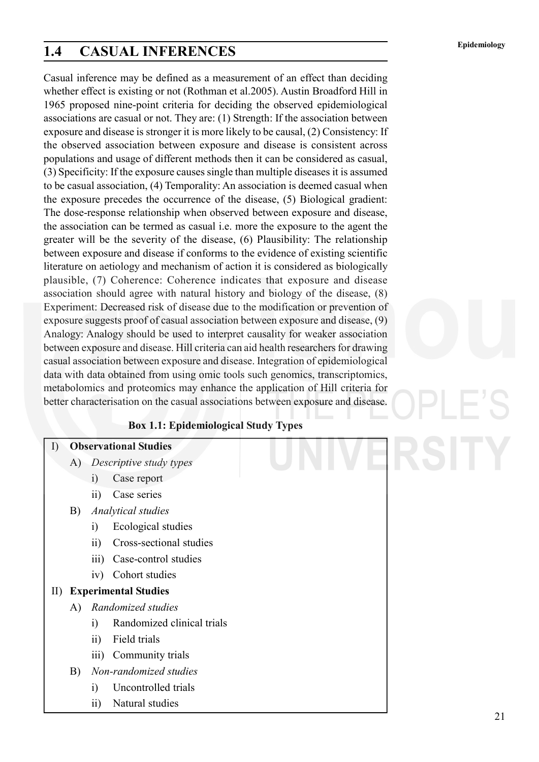# **Epidemiology 1.4 CASUAL INFERENCES**

Casual inference may be defined as a measurement of an effect than deciding whether effect is existing or not (Rothman et al.2005). Austin Broadford Hill in 1965 proposed nine-point criteria for deciding the observed epidemiological associations are casual or not. They are: (1) Strength: If the association between exposure and disease is stronger it is more likely to be causal, (2) Consistency: If the observed association between exposure and disease is consistent across populations and usage of different methods then it can be considered as casual, (3) Specificity: If the exposure causes single than multiple diseases it is assumed to be casual association, (4) Temporality: An association is deemed casual when the exposure precedes the occurrence of the disease, (5) Biological gradient: The dose-response relationship when observed between exposure and disease, the association can be termed as casual i.e. more the exposure to the agent the greater will be the severity of the disease, (6) Plausibility: The relationship between exposure and disease if conforms to the evidence of existing scientific literature on aetiology and mechanism of action it is considered as biologically plausible, (7) Coherence: Coherence indicates that exposure and disease association should agree with natural history and biology of the disease, (8) Experiment: Decreased risk of disease due to the modification or prevention of exposure suggests proof of casual association between exposure and disease, (9) Analogy: Analogy should be used to interpret causality for weaker association between exposure and disease. Hill criteria can aid health researchers for drawing casual association between exposure and disease. Integration of epidemiological data with data obtained from using omic tools such genomics, transcriptomics, metabolomics and proteomics may enhance the application of Hill criteria for better characterisation on the casual associations between exposure and disease.

**Box 1.1: Epidemiological Study Types**

#### I) **Observational Studies**

- A) *Descriptive study types*
	- i) Case report
	- ii) Case series
- B) *Analytical studies*
	- i) Ecological studies
	- ii) Cross-sectional studies
	- iii) Case-control studies
	- iv) Cohort studies
- II) **Experimental Studies**
	- A) *Randomized studies*
		- i) Randomized clinical trials
		- ii) Field trials
		- iii) Community trials
	- B) *Non-randomized studies*
		- i) Uncontrolled trials
		- ii) Natural studies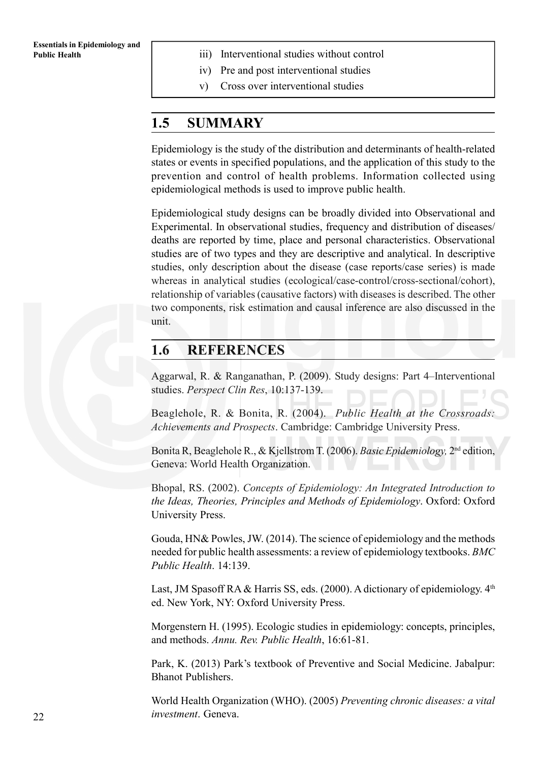- **Public Health iii**) Interventional studies without control
	- iv) Pre and post interventional studies
	- v) Cross over interventional studies

#### **1.5 SUMMARY**

Epidemiology is the study of the distribution and determinants of health-related states or events in specified populations, and the application of this study to the prevention and control of health problems. Information collected using epidemiological methods is used to improve public health.

Epidemiological study designs can be broadly divided into Observational and Experimental. In observational studies, frequency and distribution of diseases/ deaths are reported by time, place and personal characteristics. Observational studies are of two types and they are descriptive and analytical. In descriptive studies, only description about the disease (case reports/case series) is made whereas in analytical studies (ecological/case-control/cross-sectional/cohort), relationship of variables (causative factors) with diseases is described. The other two components, risk estimation and causal inference are also discussed in the unit.

#### **1.6 REFERENCES**

Aggarwal, R. & Ranganathan, P. (2009). Study designs: Part 4–Interventional studies. *Perspect Clin Res*, 10:137-139.

Beaglehole, R. & Bonita, R. (2004). *Public Health at the Crossroads: Achievements and Prospects*. Cambridge: Cambridge University Press.

Bonita R, Beaglehole R., & Kjellstrom T. (2006). *Basic Epidemiology,* 2nd edition, Geneva: World Health Organization.

Bhopal, RS. (2002). *Concepts of Epidemiology: An Integrated Introduction to the Ideas, Theories, Principles and Methods of Epidemiology*. Oxford: Oxford University Press.

Gouda, HN& Powles, JW. (2014). The science of epidemiology and the methods needed for public health assessments: a review of epidemiology textbooks. *BMC Public Health*. 14:139.

Last, JM Spasoff RA & Harris SS, eds. (2000). A dictionary of epidemiology.  $4<sup>th</sup>$ ed. New York, NY: Oxford University Press.

Morgenstern H. (1995). Ecologic studies in epidemiology: concepts, principles, and methods. *Annu. Rev. Public Health*, 16:61-81.

Park, K. (2013) Park's textbook of Preventive and Social Medicine. Jabalpur: Bhanot Publishers.

World Health Organization (WHO). (2005) *Preventing chronic diseases: a vital investment*. Geneva.